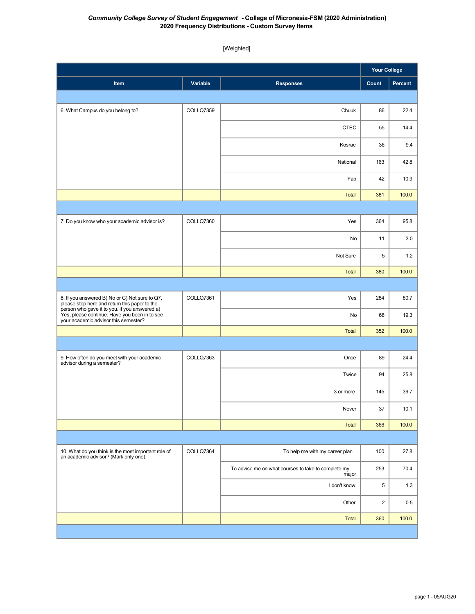## *Community College Survey of Student Engagement* **- College of Micronesia-FSM (2020 Administration) 2020 Frequency Distributions - Custom Survey Items**

[Weighted]

|                                                                                                                                        |           |                                                              | <b>Your College</b> |         |
|----------------------------------------------------------------------------------------------------------------------------------------|-----------|--------------------------------------------------------------|---------------------|---------|
| Item                                                                                                                                   | Variable  | <b>Responses</b>                                             | Count               | Percent |
|                                                                                                                                        |           |                                                              |                     |         |
| 6. What Campus do you belong to?                                                                                                       | COLLQ7359 | Chuuk                                                        | 86                  | 22.4    |
|                                                                                                                                        |           | <b>CTEC</b>                                                  | 55                  | 14.4    |
|                                                                                                                                        |           | Kosrae                                                       | 36                  | 9.4     |
|                                                                                                                                        |           | National                                                     | 163                 | 42.8    |
|                                                                                                                                        |           | Yap                                                          | 42                  | 10.9    |
|                                                                                                                                        |           | Total                                                        | 381                 | 100.0   |
|                                                                                                                                        |           |                                                              |                     |         |
| 7. Do you know who your academic advisor is?                                                                                           | COLLQ7360 | Yes                                                          | 364                 | 95.8    |
|                                                                                                                                        |           | No                                                           | 11                  | 3.0     |
|                                                                                                                                        |           | Not Sure                                                     | 5                   | 1.2     |
|                                                                                                                                        |           | Total                                                        | 380                 | 100.0   |
|                                                                                                                                        |           |                                                              |                     |         |
| 8. If you answered B) No or C) Not sure to Q7,<br>please stop here and return this paper to the                                        | COLLQ7361 | Yes                                                          | 284                 | 80.7    |
| person who gave it to you. if you answered a)<br>Yes, please continue. Have you been in to see<br>your academic advisor this semester? |           | No                                                           | 68                  | 19.3    |
|                                                                                                                                        |           | Total                                                        | 352                 | 100.0   |
|                                                                                                                                        |           |                                                              |                     |         |
| 9. How often do you meet with your academic<br>advisor during a semester?                                                              | COLLQ7363 | Once                                                         | 89                  | 24.4    |
|                                                                                                                                        |           | Twice                                                        | 94                  | 25.8    |
|                                                                                                                                        |           | 3 or more                                                    | 145                 | 39.7    |
|                                                                                                                                        |           | Never                                                        | 37                  | 10.1    |
|                                                                                                                                        |           | Total                                                        | 366                 | 100.0   |
|                                                                                                                                        |           |                                                              |                     |         |
| 10. What do you think is the most important role of<br>an academic advisor? (Mark only one)                                            | COLLQ7364 | To help me with my career plan                               | 100                 | 27.8    |
|                                                                                                                                        |           | To advise me on what courses to take to complete my<br>major | 253                 | 70.4    |
|                                                                                                                                        |           | I don't know                                                 | 5                   | 1.3     |
|                                                                                                                                        |           | Other                                                        | $\overline{c}$      | 0.5     |
|                                                                                                                                        |           | <b>Total</b>                                                 | 360                 | 100.0   |
|                                                                                                                                        |           |                                                              |                     |         |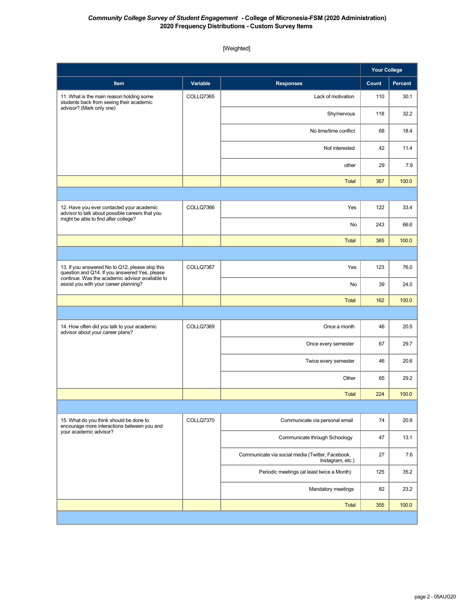## *Community College Survey of Student Engagement* **- College of Micronesia-FSM (2020 Administration) 2020 Frequency Distributions - Custom Survey Items**

[Weighted]

|                                                                                                                                                                                              |                 |                                                                      | <b>Your College</b> |         |
|----------------------------------------------------------------------------------------------------------------------------------------------------------------------------------------------|-----------------|----------------------------------------------------------------------|---------------------|---------|
| Item                                                                                                                                                                                         | <b>Variable</b> | <b>Responses</b>                                                     | Count               | Percent |
| 11. What is the main reason holding some<br>students back from seeing their academic<br>advisor? (Mark only one)                                                                             | COLLQ7365       | Lack of motivation                                                   | 110                 | 30.1    |
|                                                                                                                                                                                              |                 | Shy/nervous                                                          | 118                 | 32.2    |
|                                                                                                                                                                                              |                 | No time/time conflict                                                | 68                  | 18.4    |
|                                                                                                                                                                                              |                 | Not interested                                                       | 42                  | 11.4    |
|                                                                                                                                                                                              |                 | other                                                                | 29                  | 7.9     |
|                                                                                                                                                                                              |                 | <b>Total</b>                                                         | 367                 | 100.0   |
|                                                                                                                                                                                              |                 |                                                                      |                     |         |
| 12. Have you ever contacted your academic<br>advisor to talk about possible careers that you<br>might be able to find after college?                                                         | COLLQ7366       | Yes                                                                  | 122                 | 33.4    |
|                                                                                                                                                                                              |                 | No                                                                   | 243                 | 66.6    |
|                                                                                                                                                                                              |                 | <b>Total</b>                                                         | 365                 | 100.0   |
|                                                                                                                                                                                              |                 |                                                                      |                     |         |
| 13. If you answered No to Q12, please skip this<br>question and Q14. If you answered Yes, please<br>continue. Was the academic advisor available to<br>assist you with your career planning? | COLLQ7367       | Yes                                                                  | 123                 | 76.0    |
|                                                                                                                                                                                              |                 | No                                                                   | 39                  | 24.0    |
|                                                                                                                                                                                              |                 | <b>Total</b>                                                         | 162                 | 100.0   |
|                                                                                                                                                                                              |                 |                                                                      |                     |         |
| 14. How often did you talk to your academic<br>advisor about your career plans?                                                                                                              | COLLQ7369       | Once a month                                                         | 46                  | 20.5    |
|                                                                                                                                                                                              |                 | Once every semester                                                  | 67                  | 29.7    |
|                                                                                                                                                                                              |                 | Twice every semester                                                 | 46                  | 20.6    |
|                                                                                                                                                                                              |                 | Other                                                                | 65                  | 29.2    |
|                                                                                                                                                                                              |                 | <b>Total</b>                                                         | 224                 | 100.0   |
|                                                                                                                                                                                              |                 |                                                                      |                     |         |
| 15. What do you think should be done to<br>encourage more interactions between you and<br>your academic advisor?                                                                             | COLLQ7370       | Communicate via personal email                                       | $74\,$              | 20.9    |
|                                                                                                                                                                                              |                 | Communicate through Schoology                                        | 47                  | 13.1    |
|                                                                                                                                                                                              |                 | Communicate via social media (Twitter, Facebook,<br>Instagram, etc.) | 27                  | 7.6     |
|                                                                                                                                                                                              |                 | Periodic meetings (at least twice a Month)                           | 125                 | 35.2    |
|                                                                                                                                                                                              |                 | Mandatory meetings                                                   | 82                  | 23.2    |
|                                                                                                                                                                                              |                 | <b>Total</b>                                                         | 355                 | 100.0   |
|                                                                                                                                                                                              |                 |                                                                      |                     |         |